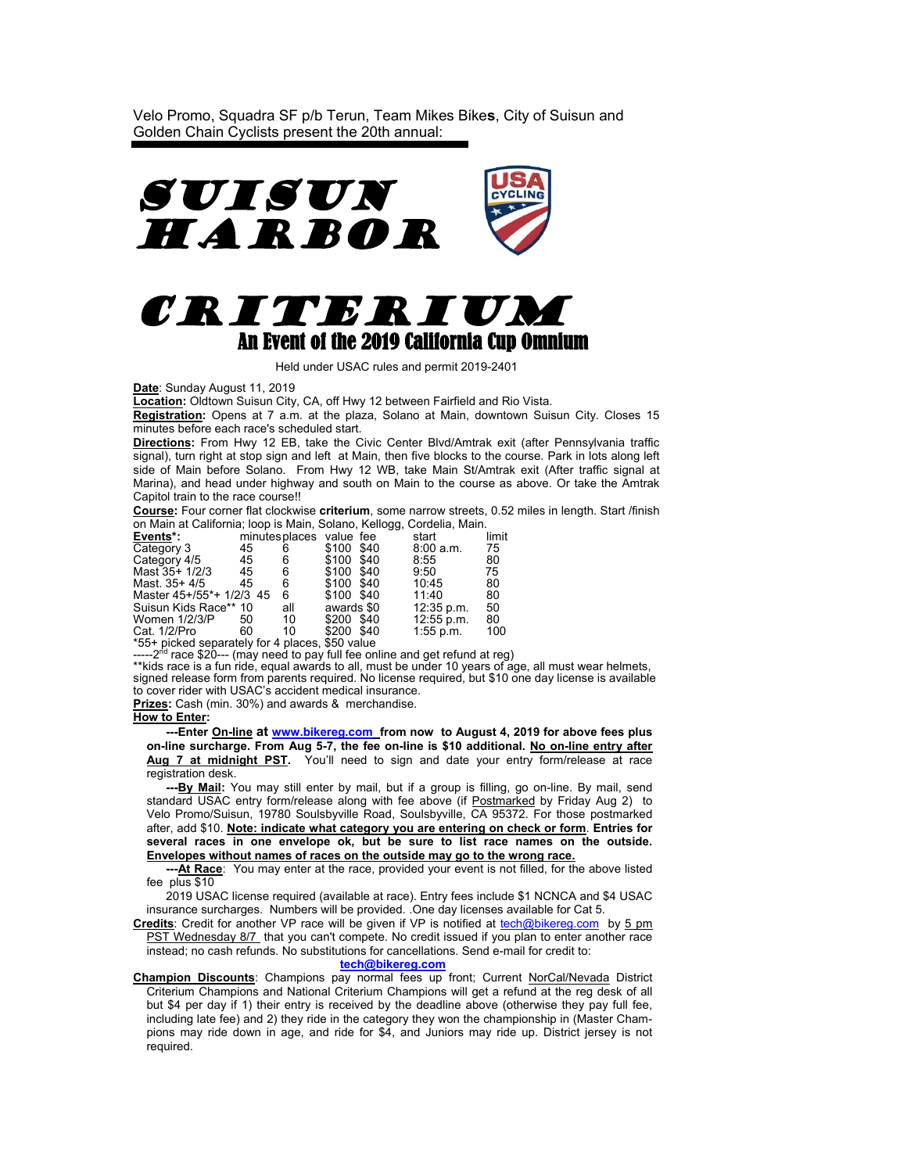Velo Promo, Squadra SF p/b Terun, Team Mikes Bike**s**, City of Suisun and Golden Chain Cyclists present the 20th annual:





Held under USAC rules and permit 2019-2401

**Date**: Sunday August 11, 2019

**Location:** Oldtown Suisun City, CA, off Hwy 12 between Fairfield and Rio Vista.

**Registration:** Opens at 7 a.m. at the plaza, Solano at Main, downtown Suisun City. Closes 15 minutes before each race's scheduled start.

**Directions:** From Hwy 12 EB, take the Civic Center Blvd/Amtrak exit (after Pennsylvania traffic signal), turn right at stop sign and left at Main, then five blocks to the course. Park in lots along left side of Main before Solano. From Hwy 12 WB, take Main St/Amtrak exit (After traffic signal at Marina), and head under highway and south on Main to the course as above. Or take the Amtrak Capitol train to the race course!!

**Course:** Four corner flat clockwise **criterium**, some narrow streets, 0.52 miles in length. Start /finish on Main at California; loop is Main, Solano, Kellogg, Cordelia, Main.

| Events*:                                      |    | minutes places value fee |            |                    | start       | limit |
|-----------------------------------------------|----|--------------------------|------------|--------------------|-------------|-------|
| Category 3                                    | 45 | 6                        | \$100 \$40 |                    | 8:00 a.m.   | 75    |
| Category 4/5                                  | 45 | 6                        | \$100 \$40 |                    | 8:55        | 80    |
| Mast 35+ 1/2/3                                | 45 | 6                        | \$100 \$40 |                    | 9:50        | 75    |
| Mast. 35+ 4/5                                 | 45 | 6                        | \$100 \$40 |                    | 10:45       | 80    |
| Master 45+/55*+ 1/2/3 45                      |    | 6                        | \$100 \$40 |                    | 11:40       | 80    |
| Suisun Kids Race** 10                         |    | all                      | awards \$0 |                    | 12:35 p.m.  | 50    |
| Women $1/2/3$ /P                              | 50 | 10                       | \$200 \$40 |                    | 12:55 p.m.  | 80    |
| Cat. 1/2/Pro                                  | 60 | 10                       | \$200 \$40 |                    | $1:55$ p.m. | 100   |
| $*FFL$ picked congrately for $\Lambda$ places |    |                          |            | $E_{\rm E}$ $\sim$ |             |       |

\*55+ picked separately for 4 places, \$50 value<br>-----2<sup>nd</sup> race \$20--- (may need to pay full fee online and get refund at reg)

\*\*kids race is a fun ride, equal awards to all, must be under 10 years of age, all must wear helmets, signed release form from parents required. No license required, but \$10 one day license is available to cover rider with USAC's accident medical insurance.

**Prizes:** Cash (min. 30%) and awards & merchandise.

## **How to Enter:**

 **---Enter On-line at [www.bikereg.com](http://www.bikereg.com/) from now to August 4, 2019 for above fees plus on-line surcharge. From Aug 5-7, the fee on-line is \$10 additional. No on-line entry after Aug 7 at midnight PST.** You'll need to sign and date your entry form/release at race registration desk.

 **---By Mail:** You may still enter by mail, but if a group is filling, go on-line. By mail, send standard USAC entry form/release along with fee above (if Postmarked by Friday Aug 2) to Velo Promo/Suisun, 19780 Soulsbyville Road, Soulsbyville, CA 95372. For those postmarked after, add \$10. **Note: indicate what category you are entering on check or form**. **Entries for several races in one envelope ok, but be sure to list race names on the outside. Envelopes without names of races on the outside may go to the wrong race.**

 **---At Race**: You may enter at the race, provided your event is not filled, for the above listed fee plus \$10

2019 USAC license required (available at race). Entry fees include \$1 NCNCA and \$4 USAC insurance surcharges. Numbers will be provided. .One day licenses available for Cat 5.

**Credits**: Credit for another VP race will be given if VP is notified at [tech@bikereg.com](mailto:tech@bikereg.com) by 5 pm PST Wednesday 8/7 that you can't compete. No credit issued if you plan to enter another race instead; no cash refunds. No substitutions for cancellations. Send e-mail for credit to: **[tech@bikereg.com](mailto:tech@bikereg.com)**

**Champion Discounts**: Champions pay normal fees up front; Current NorCal/Nevada District Criterium Champions and National Criterium Champions will get a refund at the reg desk of all but \$4 per day if 1) their entry is received by the deadline above (otherwise they pay full fee, including late fee) and 2) they ride in the category they won the championship in (Master Champions may ride down in age, and ride for \$4, and Juniors may ride up. District jersey is not required.